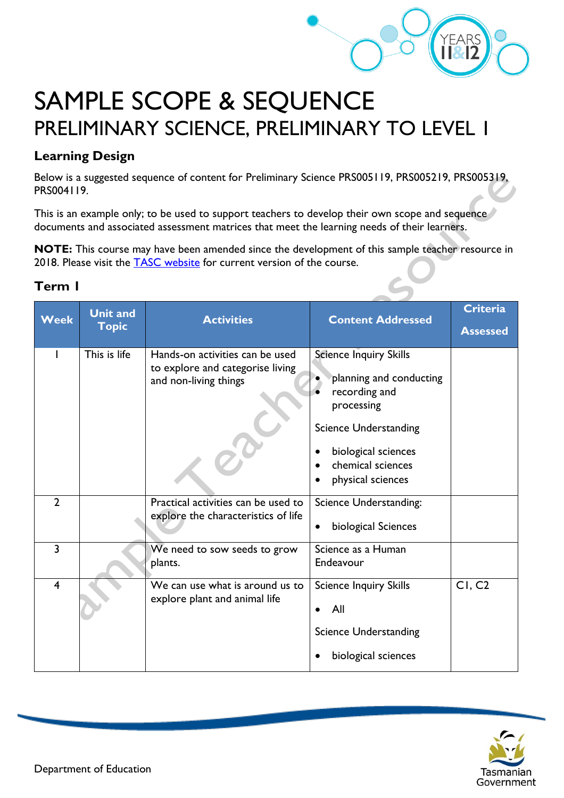

# SAMPLE SCOPE & SEQUENCE PRELIMINARY SCIENCE, PRELIMINARY TO LEVEL 1

#### **Learning Design**

Below is a suggested sequence of content for Preliminary Science PRS005119, PRS005219, PRS005319, PRS004119.

This is an example only; to be used to support teachers to develop their own scope and sequence documents and associated assessment matrices that meet the learning needs of their learners.

**NOTE:** This course may have been amended since the development of this sample teacher resource in 2018. Please visit the **TASC** website for current version of the course.

| Week           | <b>Unit and</b><br><b>Topic</b> | <b>Activities</b>                                                                            | <b>Content Addressed</b>                                                                                                                                                                 | <b>Criteria</b><br><b>Assessed</b> |
|----------------|---------------------------------|----------------------------------------------------------------------------------------------|------------------------------------------------------------------------------------------------------------------------------------------------------------------------------------------|------------------------------------|
|                | This is life                    | Hands-on activities can be used<br>to explore and categorise living<br>and non-living things | <b>Science Inquiry Skills</b><br>planning and conducting<br>recording and<br>processing<br><b>Science Understanding</b><br>biological sciences<br>chemical sciences<br>physical sciences |                                    |
| $\overline{2}$ |                                 | Practical activities can be used to<br>explore the characteristics of life                   | <b>Science Understanding:</b><br>biological Sciences                                                                                                                                     |                                    |
| $\overline{3}$ |                                 | We need to sow seeds to grow<br>plants.                                                      | Science as a Human<br>Endeavour                                                                                                                                                          |                                    |
| 4              |                                 | We can use what is around us to<br>explore plant and animal life                             | <b>Science Inquiry Skills</b><br><b>All</b><br>$\bullet$<br><b>Science Understanding</b><br>biological sciences                                                                          | CI, C2                             |



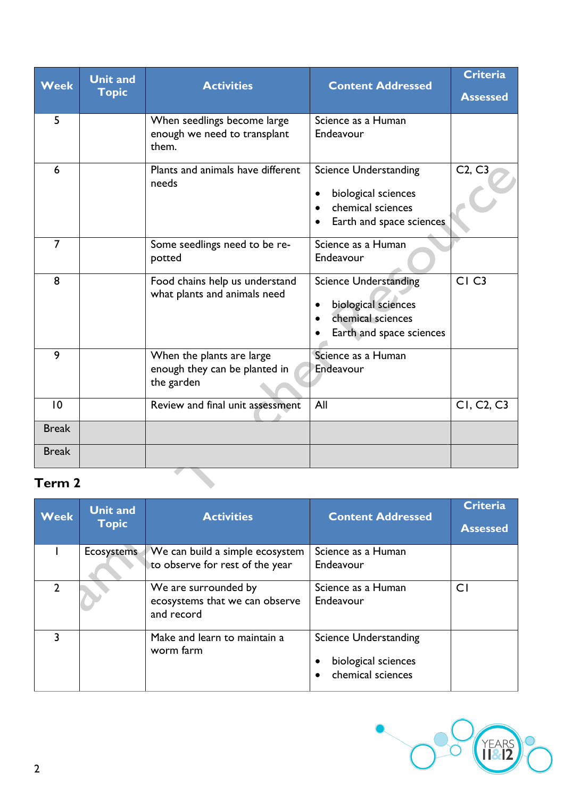| <b>Week</b>    | <b>Unit and</b> | <b>Activities</b>                                                        | <b>Content Addressed</b>                                                                             | <b>Criteria</b>                     |
|----------------|-----------------|--------------------------------------------------------------------------|------------------------------------------------------------------------------------------------------|-------------------------------------|
|                | <b>Topic</b>    |                                                                          |                                                                                                      | <b>Assessed</b>                     |
| 5              |                 | When seedlings become large<br>enough we need to transplant<br>them.     | Science as a Human<br>Endeavour                                                                      |                                     |
| 6              |                 | Plants and animals have different<br>needs                               | <b>Science Understanding</b><br>biological sciences<br>chemical sciences<br>Earth and space sciences | C2, C3                              |
| $\overline{7}$ |                 | Some seedlings need to be re-<br>potted                                  | Science as a Human<br>Endeavour                                                                      |                                     |
| 8              |                 | Food chains help us understand<br>what plants and animals need           | <b>Science Understanding</b><br>biological sciences<br>chemical sciences<br>Earth and space sciences | CI <sub>C3</sub>                    |
| 9              |                 | When the plants are large<br>enough they can be planted in<br>the garden | Science as a Human<br>Endeavour                                                                      |                                     |
| 10             |                 | Review and final unit assessment                                         | All                                                                                                  | CI, C <sub>2</sub> , C <sub>3</sub> |
| <b>Break</b>   |                 |                                                                          |                                                                                                      |                                     |
| <b>Break</b>   |                 |                                                                          |                                                                                                      |                                     |

# **Term 2**

| <b>Week</b>   | <b>Unit and</b><br><b>Topic</b> | <b>Activities</b>                                                    | <b>Content Addressed</b>                                                      | <b>Criteria</b><br><b>Assessed</b> |
|---------------|---------------------------------|----------------------------------------------------------------------|-------------------------------------------------------------------------------|------------------------------------|
|               | Ecosystems                      | We can build a simple ecosystem<br>to observe for rest of the year   | Science as a Human<br>Endeavour                                               |                                    |
| $\mathcal{P}$ |                                 | We are surrounded by<br>ecosystems that we can observe<br>and record | Science as a Human<br>Endeavour                                               | C1                                 |
| 3             |                                 | Make and learn to maintain a<br>worm farm                            | <b>Science Understanding</b><br>biological sciences<br>٠<br>chemical sciences |                                    |

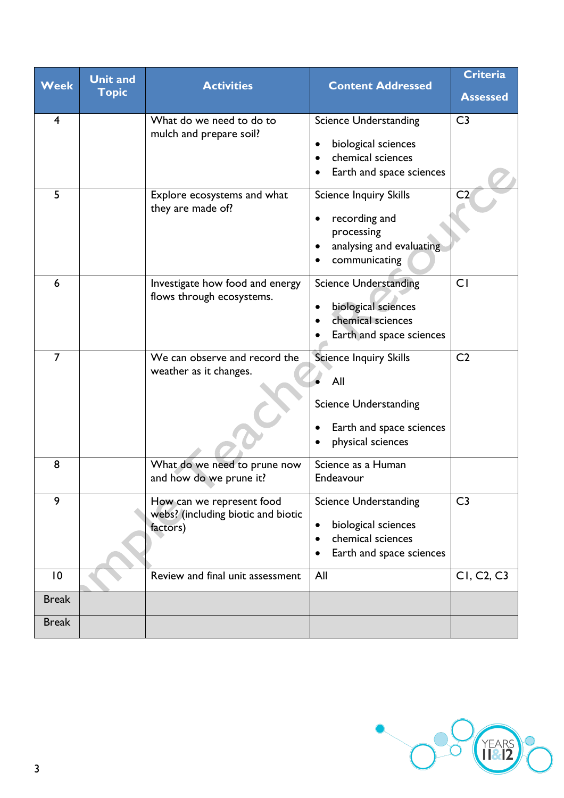| <b>Week</b>             | <b>Unit and</b><br><b>Topic</b> | <b>Activities</b>                                                           | <b>Content Addressed</b>                                                                                                                    | <b>Criteria</b><br><b>Assessed</b>  |
|-------------------------|---------------------------------|-----------------------------------------------------------------------------|---------------------------------------------------------------------------------------------------------------------------------------------|-------------------------------------|
| $\overline{\mathbf{4}}$ |                                 | What do we need to do to<br>mulch and prepare soil?                         | <b>Science Understanding</b><br>biological sciences<br>chemical sciences<br>Earth and space sciences                                        | C <sub>3</sub>                      |
| 5                       |                                 | Explore ecosystems and what<br>they are made of?                            | <b>Science Inquiry Skills</b><br>recording and<br>processing<br>analysing and evaluating<br>communicating                                   | C <sub>2</sub>                      |
| 6                       |                                 | Investigate how food and energy<br>flows through ecosystems.                | <b>Science Understanding</b><br>biological sciences<br>chemical sciences<br>Earth and space sciences                                        | CI                                  |
| $\overline{7}$          |                                 | We can observe and record the<br>weather as it changes.                     | <b>Science Inquiry Skills</b><br>All<br><b>Science Understanding</b><br>Earth and space sciences<br>physical sciences                       | C <sub>2</sub>                      |
| 8                       |                                 | What do we need to prune now<br>and how do we prune it?                     | Science as a Human<br>Endeavour                                                                                                             |                                     |
| 9                       |                                 | How can we represent food<br>webs? (including biotic and biotic<br>factors) | <b>Science Understanding</b><br>biological sciences<br>$\bullet$<br>chemical sciences<br>$\bullet$<br>Earth and space sciences<br>$\bullet$ | C <sub>3</sub>                      |
| 10                      |                                 | Review and final unit assessment                                            | All                                                                                                                                         | CI, C <sub>2</sub> , C <sub>3</sub> |
| <b>Break</b>            |                                 |                                                                             |                                                                                                                                             |                                     |
| <b>Break</b>            |                                 |                                                                             |                                                                                                                                             |                                     |

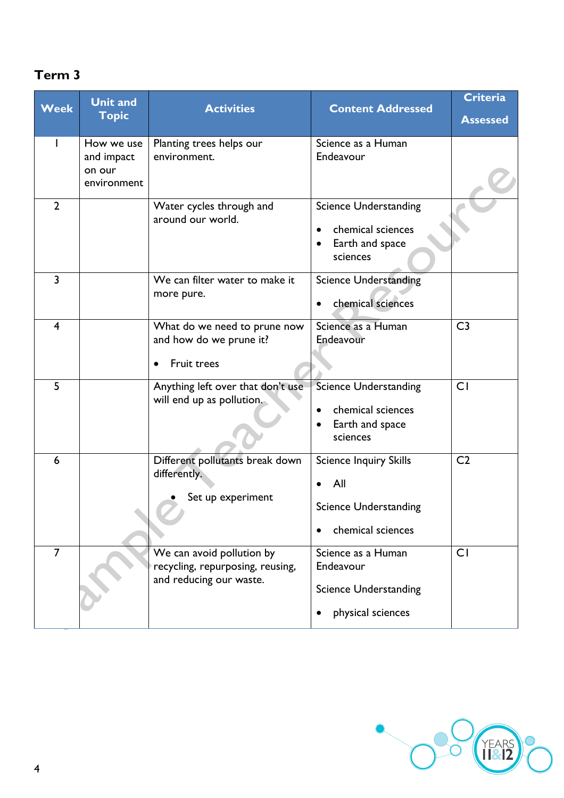## **Term 3**

| <b>Week</b>    | <b>Unit and</b><br><b>Topic</b>                   | <b>Activities</b>                                                                        | <b>Content Addressed</b>                                                                      | <b>Criteria</b><br><b>Assessed</b> |
|----------------|---------------------------------------------------|------------------------------------------------------------------------------------------|-----------------------------------------------------------------------------------------------|------------------------------------|
|                | How we use<br>and impact<br>on our<br>environment | Planting trees helps our<br>environment.                                                 | Science as a Human<br>Endeavour                                                               |                                    |
| $\overline{2}$ |                                                   | Water cycles through and<br>around our world.                                            | <b>Science Understanding</b><br>chemical sciences<br>$\bullet$<br>Earth and space<br>sciences |                                    |
| $\overline{3}$ |                                                   | We can filter water to make it<br>more pure.                                             | <b>Science Understanding</b><br>chemical sciences                                             |                                    |
| $\overline{4}$ |                                                   | What do we need to prune now<br>and how do we prune it?<br>Fruit trees                   | Science as a Human<br>Endeavour                                                               | C <sub>3</sub>                     |
| 5              |                                                   | Anything left over that don't use<br>will end up as pollution.                           | <b>Science Understanding</b><br>chemical sciences<br>Earth and space<br>sciences              | CI                                 |
| 6              |                                                   | Different pollutants break down<br>differently.<br>Set up experiment                     | <b>Science Inquiry Skills</b><br>All<br><b>Science Understanding</b><br>chemical sciences     | C <sub>2</sub>                     |
| $\overline{7}$ |                                                   | We can avoid pollution by<br>recycling, repurposing, reusing,<br>and reducing our waste. | Science as a Human<br>Endeavour<br><b>Science Understanding</b><br>physical sciences          | CI                                 |

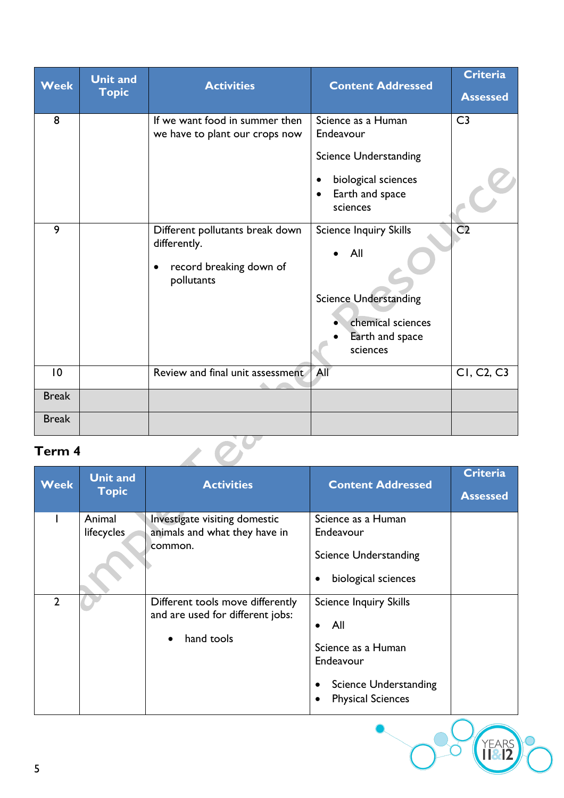| <b>Week</b>     | <b>Unit and</b><br><b>Topic</b> | <b>Activities</b>                                                                        | <b>Content Addressed</b>                                                                                                 | <b>Criteria</b><br><b>Assessed</b>  |
|-----------------|---------------------------------|------------------------------------------------------------------------------------------|--------------------------------------------------------------------------------------------------------------------------|-------------------------------------|
| 8               |                                 | If we want food in summer then<br>we have to plant our crops now                         | Science as a Human<br>Endeavour<br><b>Science Understanding</b><br>biological sciences<br>Earth and space<br>sciences    | C <sub>3</sub>                      |
| 9               |                                 | Different pollutants break down<br>differently.<br>record breaking down of<br>pollutants | <b>Science Inquiry Skills</b><br>All<br><b>Science Understanding</b><br>chemical sciences<br>Earth and space<br>sciences | C <sub>2</sub>                      |
| $\overline{10}$ |                                 | Review and final unit assessment                                                         | All                                                                                                                      | CI, C <sub>2</sub> , C <sub>3</sub> |
| <b>Break</b>    |                                 |                                                                                          |                                                                                                                          |                                     |
| <b>Break</b>    |                                 |                                                                                          |                                                                                                                          |                                     |

### **Term 4**

| Term 4         |                                 |                                                                                    |                                                                                                                                                  |                                    |
|----------------|---------------------------------|------------------------------------------------------------------------------------|--------------------------------------------------------------------------------------------------------------------------------------------------|------------------------------------|
| <b>Week</b>    | <b>Unit and</b><br><b>Topic</b> | <b>Activities</b>                                                                  | <b>Content Addressed</b>                                                                                                                         | <b>Criteria</b><br><b>Assessed</b> |
|                | Animal<br>lifecycles            | Investigate visiting domestic<br>animals and what they have in<br>common.          | Science as a Human<br>Endeavour<br><b>Science Understanding</b><br>biological sciences<br>$\bullet$                                              |                                    |
| $\overline{2}$ |                                 | Different tools move differently<br>and are used for different jobs:<br>hand tools | <b>Science Inquiry Skills</b><br>All<br>$\bullet$<br>Science as a Human<br>Endeavour<br><b>Science Understanding</b><br><b>Physical Sciences</b> |                                    |
| 5              |                                 |                                                                                    |                                                                                                                                                  | <b>FARS</b>                        |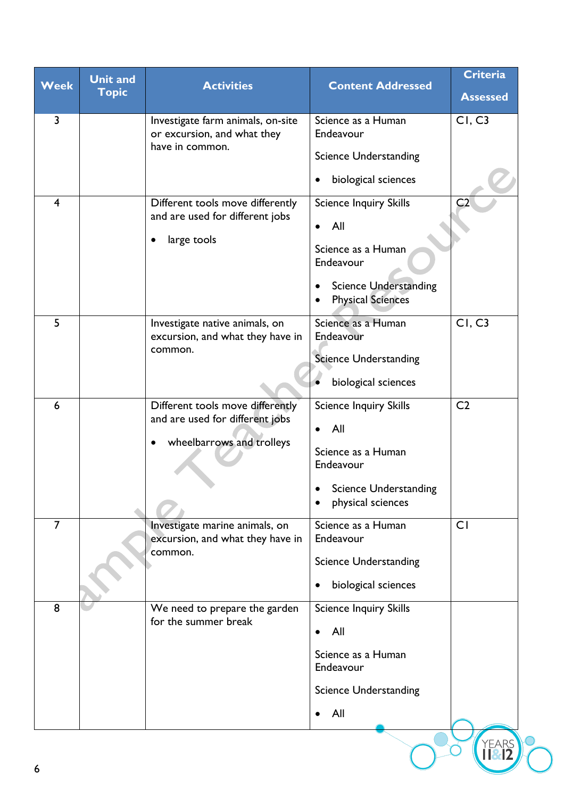| <b>Week</b>             | <b>Unit and</b><br><b>Topic</b> | <b>Activities</b>                                                                                             | <b>Content Addressed</b>                                                                                                                         | <b>Criteria</b><br><b>Assessed</b> |
|-------------------------|---------------------------------|---------------------------------------------------------------------------------------------------------------|--------------------------------------------------------------------------------------------------------------------------------------------------|------------------------------------|
| $\overline{3}$          |                                 | Investigate farm animals, on-site<br>or excursion, and what they<br>have in common.                           | Science as a Human<br>Endeavour                                                                                                                  | CI, C3                             |
|                         |                                 |                                                                                                               | <b>Science Understanding</b><br>biological sciences<br>٠                                                                                         |                                    |
| $\overline{\mathbf{4}}$ |                                 | Different tools move differently<br>and are used for different jobs<br>large tools<br>٠                       | <b>Science Inquiry Skills</b><br>All<br>$\bullet$<br>Science as a Human<br>Endeavour<br><b>Science Understanding</b><br><b>Physical Sciences</b> | C <sub>2</sub>                     |
| 5                       |                                 | Investigate native animals, on<br>excursion, and what they have in<br>common.                                 | Science as a Human<br>Endeavour<br><b>Science Understanding</b><br>biological sciences                                                           | CI, C3                             |
| 6                       |                                 | Different tools move differently<br>and are used for different jobs<br>wheelbarrows and trolleys<br>$\bullet$ | <b>Science Inquiry Skills</b><br>All<br>$\bullet$<br>Science as a Human<br>Endeavour<br>• Science Understanding<br>physical sciences             | C <sub>2</sub>                     |
| $\overline{7}$          |                                 | Investigate marine animals, on<br>excursion, and what they have in<br>common.                                 | Science as a Human<br>Endeavour<br><b>Science Understanding</b><br>biological sciences<br>$\bullet$                                              | CI                                 |
| 8                       |                                 | We need to prepare the garden<br>for the summer break                                                         | <b>Science Inquiry Skills</b><br>All<br>$\bullet$<br>Science as a Human<br>Endeavour<br><b>Science Understanding</b><br>All                      |                                    |